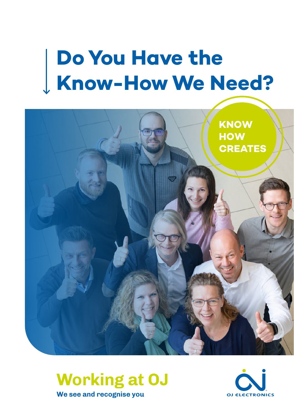## **Do You Have the Know-How We Need?**





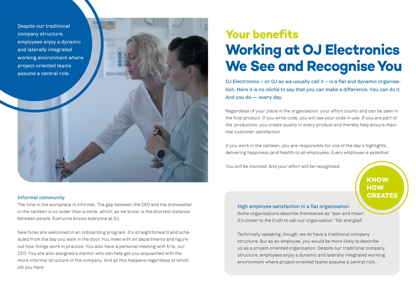Despite our traditional company structure, employees enjoy a dynamic and laterally integrated working environment where project-oriented teams assume a central role.

#### Informal community

The tone in the workplace is informal. The gap between the CEO and the dishwasher in the canteen is no wider than a smile, which, as we know, is the shortest distance between people. Everyone knows everyone at OJ.

New hires are welcomed in an onboarding program. It's straightforward and scheduled from the day you walk in the door. You meet with all departments and figure out how things work in practice. You also have a personal meeting with Erik, our CEO. You are also assigned a mentor who can help get you acquainted with the more informal structure of the company. And all this happens regardless of which job you have.

### **Your benefits Working at OJ Electronics We See and Recognise You**

OJ Electronics – or OJ as we usually call it – is a flat and dynamic organisation. Here it is no cliché to say that you can make a difference. You can do it. And you do — every day.

Regardless of your place in the organisation, your effort counts and can be seen in the final product. If you write code, you will see your code in use. If you are part of the production, you create quality in every product and thereby help ensure maximal customer satisfaction.

If you work in the canteen, you are responsible for one of the day's highlights, delivering happiness (and health) to all employees. Every employee is essential.

You will be involved. And your effort will be recognised.

**KNOW HOW CREATES** 

High employee satisfaction in a flat organisation Some organisations describe themselves as "lean and mean". It's closer to the truth to call our organisation "flat and glad".

Technically speaking, though, we do have a traditional company structure. But as an employee, you would be more likely to describe us as a project-oriented organisation. Despite our traditional company structure, employees enjoy a dynamic and laterally integrated working environment where project-oriented teams assume a central role.